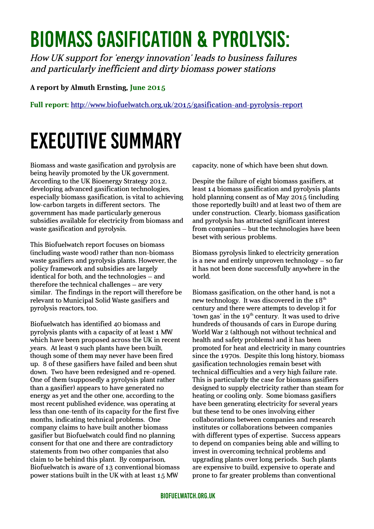## Biomass gasification & pyrolysis:

How UK support for 'energy innovation' leads to business failures and particularly inefficient and dirty biomass power stations

## **A report by Almuth Ernsting, June 2015**

**Full report:** <http://www.biofuelwatch.org.uk/2015/gasification-and-pyrolysis-report>

## Executive Summary

Biomass and waste gasification and pyrolysis are being heavily promoted by the UK government. According to the UK Bioenergy Strategy 2012, developing advanced gasification technologies, especially biomass gasification, is vital to achieving low-carbon targets in different sectors. The government has made particularly generous subsidies available for electricity from biomass and waste gasification and pyrolysis.

This Biofuelwatch report focuses on biomass (including waste wood) rather than non-biomass waste gasifiers and pyrolysis plants. However, the policy framework and subsidies are largely identical for both, and the technologies – and therefore the technical challenges – are very similar. The findings in the report will therefore be relevant to Municipal Solid Waste gasifiers and pyrolysis reactors, too.

Biofuelwatch has identified 40 biomass and pyrolysis plants with a capacity of at least 1 MW which have been proposed across the UK in recent years. At least 9 such plants have been built, though some of them may never have been fired up. 8 of these gasifiers have failed and been shut down. Two have been redesigned and re-opened. One of them (supposedly a pyrolysis plant rather than a gasifier) appears to have generated no energy as yet and the other one, according to the most recent published evidence, was operating at less than one-tenth of its capacity for the first five months, indicating technical problems. One company claims to have built another biomass gasifier but Biofuelwatch could find no planning consent for that one and there are contradictory statements from two other companies that also claim to be behind this plant. By comparison, Biofuelwatch is aware of 13 conventional biomass power stations built in the UK with at least 15 MW

capacity, none of which have been shut down.

Despite the failure of eight biomass gasifiers, at least 14 biomass gasification and pyrolysis plants hold planning consent as of May 2015 (including those reportedly built) and at least two of them are under construction. Clearly, biomass gasification and pyrolysis has attracted significant interest from companies – but the technologies have been beset with serious problems.

Biomass pyrolysis linked to electricity generation is a new and entirely unproven technology – so far it has not been done successfully anywhere in the world.

Biomass gasification, on the other hand, is not a new technology. It was discovered in the  $18<sup>th</sup>$ century and there were attempts to develop it for 'town gas' in the  $19<sup>th</sup>$  century. It was used to drive hundreds of thousands of cars in Europe during World War 2 (although not without technical and health and safety problems) and it has been promoted for heat and electricity in many countries since the 1970s. Despite this long history, biomass gasification technologies remain beset with technical difficulties and a very high failure rate. This is particularly the case for biomass gasifiers designed to supply electricity rather than steam for heating or cooling only. Some biomass gasifiers have been generating electricity for several years but these tend to be ones involving either collaborations between companies and research institutes or collaborations between companies with different types of expertise. Success appears to depend on companies being able and willing to invest in overcoming technical problems and upgrading plants over long periods. Such plants are expensive to build, expensive to operate and prone to far greater problems than conventional